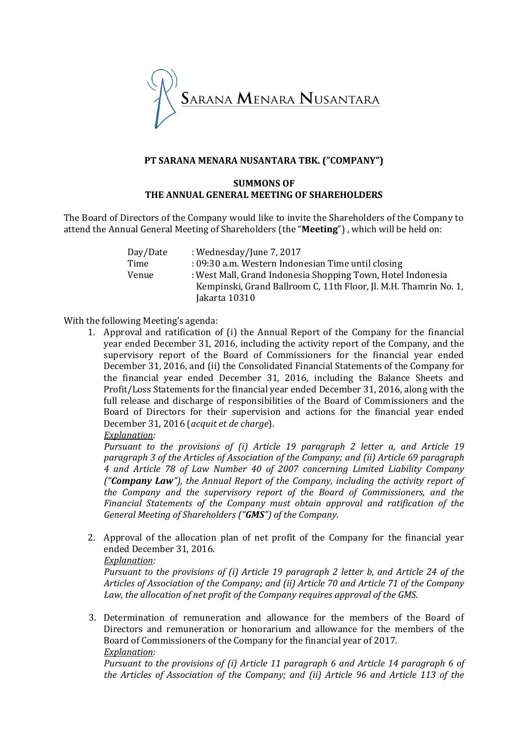

### **PT SARANA MENARA NUSANTARA TBK. ("COMPANY")**

#### **SUMMONS OF THE ANNUAL GENERAL MEETING OF SHAREHOLDERS**

The Board of Directors of the Company would like to invite the Shareholders of the Company to attend the Annual General Meeting of Shareholders (the "**Meeting**") , which will be held on:

| Day/Date | : Wednesday/June 7, 2017                                         |
|----------|------------------------------------------------------------------|
| Time     | : 09:30 a.m. Western Indonesian Time until closing               |
| Venue    | : West Mall, Grand Indonesia Shopping Town, Hotel Indonesia      |
|          | Kempinski, Grand Ballroom C, 11th Floor, Jl. M.H. Thamrin No. 1, |
|          | Jakarta 10310                                                    |

### With the following Meeting's agenda:

1. Approval and ratification of (i) the Annual Report of the Company for the financial year ended December 31, 2016, including the activity report of the Company, and the supervisory report of the Board of Commissioners for the financial year ended December 31, 2016, and (ii) the Consolidated Financial Statements of the Company for the financial year ended December 31, 2016, including the Balance Sheets and Profit/Loss Statements for the financial year ended December 31, 2016, along with the full release and discharge of responsibilities of the Board of Commissioners and the Board of Directors for their supervision and actions for the financial year ended December 31, 2016 (*acquit et de charge*).

### *Explanation:*

*Pursuant to the provisions of (i) Article 19 paragraph 2 letter a, and Article 19 paragraph 3 of the Articles of Association of the Company; and (ii) Article 69 paragraph 4 and Article 78 of Law Number 40 of 2007 concerning Limited Liability Company ("Company Law"), the Annual Report of the Company, including the activity report of the Company and the supervisory report of the Board of Commissioners, and the Financial Statements of the Company must obtain approval and ratification of the General Meeting of Shareholders ("GMS") of the Company.* 

2. Approval of the allocation plan of net profit of the Company for the financial year ended December 31, 2016.

### *Explanation:*

*Pursuant to the provisions of (i) Article 19 paragraph 2 letter b, and Article 24 of the Articles of Association of the Company; and (ii) Article 70 and Article 71 of the Company Law, the allocation of net profit of the Company requires approval of the GMS.*

3. Determination of remuneration and allowance for the members of the Board of Directors and remuneration or honorarium and allowance for the members of the Board of Commissioners of the Company for the financial year of 2017. *Explanation:*

*Pursuant to the provisions of (i) Article 11 paragraph 6 and Article 14 paragraph 6 of the Articles of Association of the Company; and (ii) Article 96 and Article 113 of the*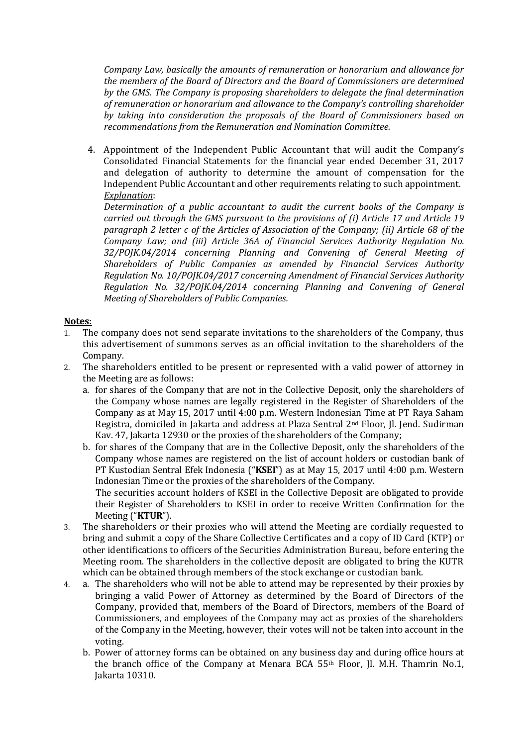*Company Law, basically the amounts of remuneration or honorarium and allowance for the members of the Board of Directors and the Board of Commissioners are determined by the GMS. The Company is proposing shareholders to delegate the final determination of remuneration or honorarium and allowance to the Company's controlling shareholder by taking into consideration the proposals of the Board of Commissioners based on recommendations from the Remuneration and Nomination Committee.*

4. Appointment of the Independent Public Accountant that will audit the Company's Consolidated Financial Statements for the financial year ended December 31, 2017 and delegation of authority to determine the amount of compensation for the Independent Public Accountant and other requirements relating to such appointment. *Explanation*:

*Determination of a public accountant to audit the current books of the Company is carried out through the GMS pursuant to the provisions of (i) Article 17 and Article 19 paragraph 2 letter c of the Articles of Association of the Company; (ii) Article 68 of the Company Law; and (iii) Article 36A of Financial Services Authority Regulation No. 32/POJK.04/2014 concerning Planning and Convening of General Meeting of Shareholders of Public Companies as amended by Financial Services Authority Regulation No. 10/POJK.04/2017 concerning Amendment of Financial Services Authority Regulation No. 32/POJK.04/2014 concerning Planning and Convening of General Meeting of Shareholders of Public Companies.*

# **Notes:**

- 1. The company does not send separate invitations to the shareholders of the Company, thus this advertisement of summons serves as an official invitation to the shareholders of the Company.
- 2. The shareholders entitled to be present or represented with a valid power of attorney in the Meeting are as follows:
	- a. for shares of the Company that are not in the Collective Deposit, only the shareholders of the Company whose names are legally registered in the Register of Shareholders of the Company as at May 15, 2017 until 4:00 p.m. Western Indonesian Time at PT Raya Saham Registra, domiciled in Jakarta and address at Plaza Sentral 2nd Floor, Jl. Jend. Sudirman Kav. 47, Jakarta 12930 or the proxies of the shareholders of the Company;
	- b. for shares of the Company that are in the Collective Deposit, only the shareholders of the Company whose names are registered on the list of account holders or custodian bank of PT Kustodian Sentral Efek Indonesia ("**KSEI**") as at May 15, 2017 until 4:00 p.m. Western Indonesian Time or the proxies of the shareholders of the Company. The securities account holders of KSEI in the Collective Deposit are obligated to provide

their Register of Shareholders to KSEI in order to receive Written Confirmation for the Meeting ("**KTUR**").

- 3. The shareholders or their proxies who will attend the Meeting are cordially requested to bring and submit a copy of the Share Collective Certificates and a copy of ID Card (KTP) or other identifications to officers of the Securities Administration Bureau, before entering the Meeting room. The shareholders in the collective deposit are obligated to bring the KUTR which can be obtained through members of the stock exchange or custodian bank.
- 4. a. The shareholders who will not be able to attend may be represented by their proxies by bringing a valid Power of Attorney as determined by the Board of Directors of the Company, provided that, members of the Board of Directors, members of the Board of Commissioners, and employees of the Company may act as proxies of the shareholders of the Company in the Meeting, however, their votes will not be taken into account in the voting.
	- b. Power of attorney forms can be obtained on any business day and during office hours at the branch office of the Company at Menara BCA 55th Floor, Jl. M.H. Thamrin No.1, Jakarta 10310.